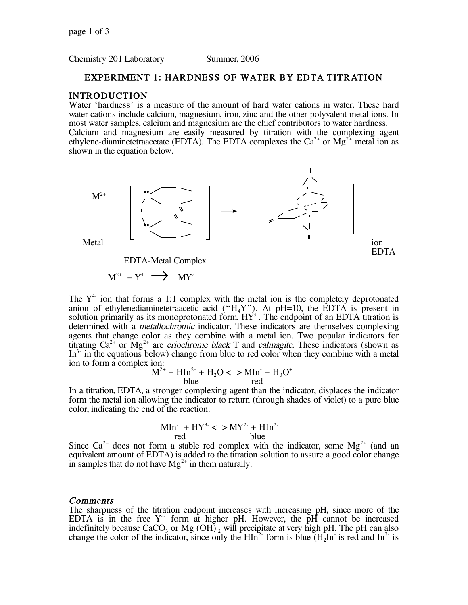Chemistry 201 Laboratory Summer, 2006

# EXPERIMENT 1: HARDNESS OF WATER BY EDTA TITRATION

# INTRODUCTION

Water 'hardness' is a measure of the amount of hard water cations in water. These hard water cations include calcium, magnesium, iron, zinc and the other polyvalent metal ions. In most water samples, calcium and magnesium are the chief contributors to water hardness. Calcium and magnesium are easily measured by titration with the complexing agent ethylene-diaminetetraacetate (EDTA). The EDTA complexes the  $Ca^{2+}$  or Mg<sup>2+</sup> metal ion as shown in the equation below.



EDTA-Metal Complex

$$
M^{2+} + Y^{4-} \longrightarrow \quad \text{MY}^{2-}
$$

The  $Y^4$  ion that forms a 1:1 complex with the metal ion is the completely deprotonated anion of ethylenediaminetetraacetic acid (" $H_4Y$ "). At pH=10, the EDTA is present in solution primarily as its monoprotonated form,  $HY^3$ . The endpoint of an EDTA titration is determined with a metallochromic indicator. These indicators are themselves complexing agents that change color as they combine with a metal ion. Two popular indicators for titrating  $Ca^{2+}$  or  $Mg^{2+}$  are *eriochrome black* T and *calmagite*. These indicators (shown as  $In<sup>3</sup>$  in the equations below) change from blue to red color when they combine with a metal ion to form a complex ion:

$$
M^{2+} + HIn^{2-} + H_2O \le -\gg MIn^{+} + H_3O^{+}
$$
  
blue red

In a titration, EDTA, a stronger complexing agent than the indicator, displaces the indicator form the metal ion allowing the indicator to return (through shades of violet) to a pure blue color, indicating the end of the reaction.

$$
\frac{\text{Min}^+ + \text{HY}^3}{\text{red}} \leq -\text{SNY}^{2-} + \text{HIn}^{2-}
$$

Since  $Ca^{2+}$  does not form a stable red complex with the indicator, some  $Mg^{2+}$  (and an equivalent amount of EDTA) is added to the titration solution to assure a good color change in samples that do not have  $Mg^{2+}$  in them naturally.

#### **Comments**

The sharpness of the titration endpoint increases with increasing pH, since more of the EDTA is in the free  $Y^4$  form at higher pH. However, the pH cannot be increased indefinitely because  $CaCO<sub>3</sub>$  or Mg (OH)  $_2$  will precipitate at very high pH. The pH can also change the color of the indicator, since only the  $HIn^2$  form is blue  $(H<sub>2</sub>In^2$  is red and  $In^3$  is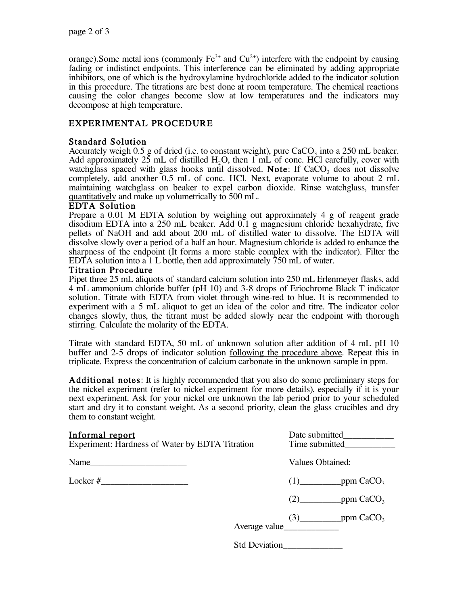orange). Some metal ions (commonly  $Fe^{3+}$  and  $Cu^{2+}$ ) interfere with the endpoint by causing fading or indistinct endpoints. This interference can be eliminated by adding appropriate inhibitors, one of which is the hydroxylamine hydrochloride added to the indicator solution in this procedure. The titrations are best done at room temperature. The chemical reactions causing the color changes become slow at low temperatures and the indicators may decompose at high temperature.

# EXPERIMENTAL PROCEDURE

# Standard Solution

Accurately weigh 0.5 g of dried (i.e. to constant weight), pure  $CaCO<sub>3</sub>$  into a 250 mL beaker. Add approximately  $25$  mL of distilled H<sub>2</sub>O, then 1 mL of conc. HCl carefully, cover with watchglass spaced with glass hooks until dissolved. Note: If  $CaCO<sub>3</sub>$  does not dissolve completely, add another 0.5 mL of conc. HCl. Next, evaporate volume to about 2 mL maintaining watchglass on beaker to expel carbon dioxide. Rinse watchglass, transfer quantitatively and make up volumetrically to 500 mL.

# EDTA Solution

Prepare a 0.01 M EDTA solution by weighing out approximately 4 g of reagent grade disodium EDTA into a 250 mL beaker. Add 0.1 g magnesium chloride hexahydrate, five pellets of NaOH and add about 200 mL of distilled water to dissolve. The EDTA will dissolve slowly over a period of a half an hour. Magnesium chloride is added to enhance the sharpness of the endpoint (It forms a more stable complex with the indicator). Filter the EDTA solution into a 1 L bottle, then add approximately  $\overline{7}50$  mL of water.

# Titration Procedure

Pipet three 25 mL aliquots of standard calcium solution into 250 mL Erlenmeyer flasks, add 4 mL ammonium chloride buffer (pH 10) and 3-8 drops of Eriochrome Black T indicator solution. Titrate with EDTA from violet through wine-red to blue. It is recommended to experiment with a 5 mL aliquot to get an idea of the color and titre. The indicator color changes slowly, thus, the titrant must be added slowly near the endpoint with thorough stirring. Calculate the molarity of the EDTA.

Titrate with standard EDTA, 50 mL of unknown solution after addition of 4 mL pH 10 buffer and 2-5 drops of indicator solution following the procedure above. Repeat this in triplicate. Express the concentration of calcium carbonate in the unknown sample in ppm.

Additional notes: It is highly recommended that you also do some preliminary steps for the nickel experiment (refer to nickel experiment for more details), especially if it is your next experiment. Ask for your nickel ore unknown the lab period prior to your scheduled start and dry it to constant weight. As a second priority, clean the glass crucibles and dry them to constant weight.

# Informal report  $\Box$

| <u>illivimai iupuit</u><br>Experiment: Hardness of Water by EDTA Titration |                      | Daw subtitum<br>Time submitted |                             |
|----------------------------------------------------------------------------|----------------------|--------------------------------|-----------------------------|
| Name                                                                       |                      | Values Obtained:               |                             |
| Locker #<br>the control of the control of the control of the control of    |                      |                                | $(1)$ ppm CaCO <sub>3</sub> |
|                                                                            |                      |                                | _ppm $CaCO3$                |
|                                                                            | Average value        |                                | $(3)$ ppm CaCO <sub>3</sub> |
|                                                                            | <b>Std Deviation</b> |                                |                             |